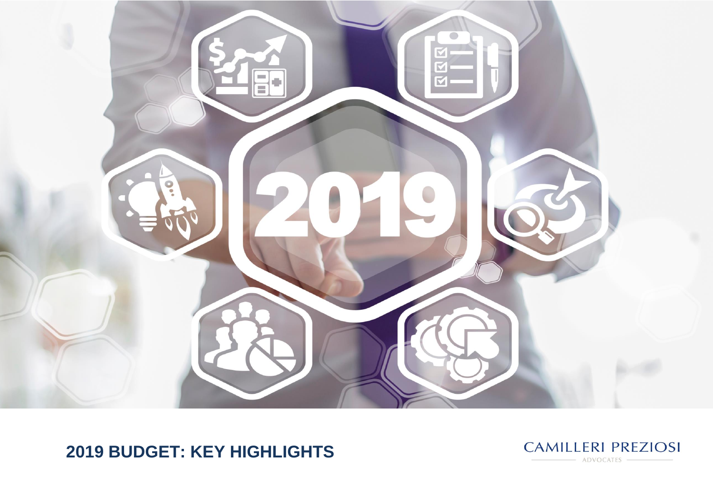

# **2019 BUDGET: KEY HIGHLIGHTS**

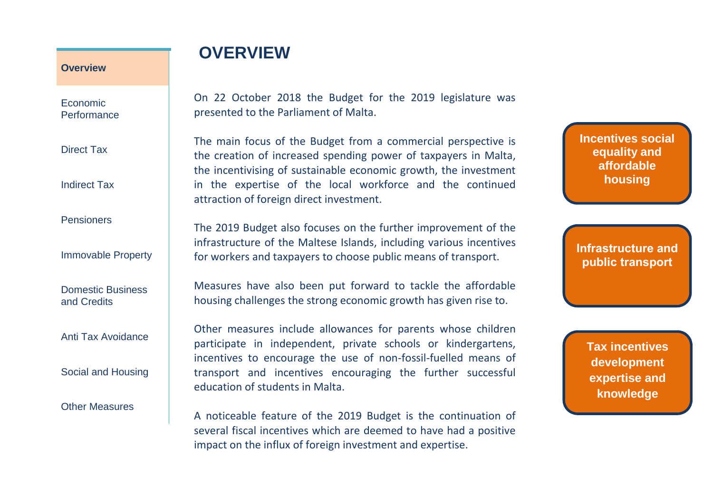Economic **Performance** 

Direct Tax

Indirect Tax

Pensioners

Immovable Property

Domestic Business and Credits

Anti Tax Avoidance

Social and Housing

Other Measures

## **OVERVIEW**

On 22 October 2018 the Budget for the 2019 legislature was presented to the Parliament of Malta.

The main focus of the Budget from a commercial perspective is the creation of increased spending power of taxpayers in Malta, the incentivising of sustainable economic growth, the investment in the expertise of the local workforce and the continued attraction of foreign direct investment.

The 2019 Budget also focuses on the further improvement of the infrastructure of the Maltese Islands, including various incentives for workers and taxpayers to choose public means of transport.

Measures have also been put forward to tackle the affordable housing challenges the strong economic growth has given rise to.

Other measures include allowances for parents whose children participate in independent, private schools or kindergartens, incentives to encourage the use of non-fossil-fuelled means of transport and incentives encouraging the further successful education of students in Malta.

A noticeable feature of the 2019 Budget is the continuation of several fiscal incentives which are deemed to have had a positive impact on the influx of foreign investment and expertise.

**Incentives social equality and affordable housing**

**Infrastructure and public transport**

> **Tax incentives development expertise and knowledge**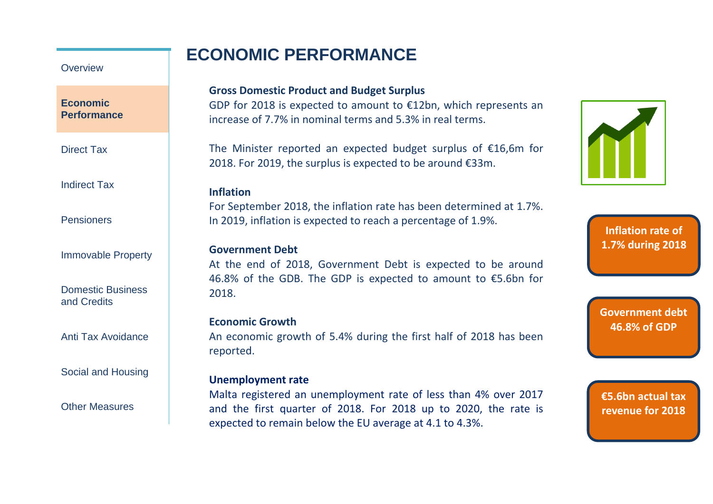### **ECONOMIC PERFORMANCE**

### **Overview**

### **Economic Performance**

Direct Tax

Indirect Tax

**Pensioners** 

Immovable Property

Domestic Business and Credits

Anti Tax Avoidance

#### Social and Housing

Other Measures

### **Gross Domestic Product and Budget Surplus**

GDP for 2018 is expected to amount to €12bn, which represents an increase of 7.7% in nominal terms and 5.3% in real terms.

The Minister reported an expected budget surplus of €16,6m for 2018. For 2019, the surplus is expected to be around €33m.

### **Inflation**

For September 2018, the inflation rate has been determined at 1.7%. In 2019, inflation is expected to reach a percentage of 1.9%.

### **Government Debt**

At the end of 2018, Government Debt is expected to be around 46.8% of the GDB. The GDP is expected to amount to €5.6bn for 2018.

### **Economic Growth**

An economic growth of 5.4% during the first half of 2018 has been reported.

### **Unemployment rate**

Malta registered an unemployment rate of less than 4% over 2017 and the first quarter of 2018. For 2018 up to 2020, the rate is expected to remain below the EU average at 4.1 to 4.3%.



**Inflation rate of 1.7% during 2018**

**Government debt 46.8% of GDP**

**€5.6bn actual tax revenue for 2018**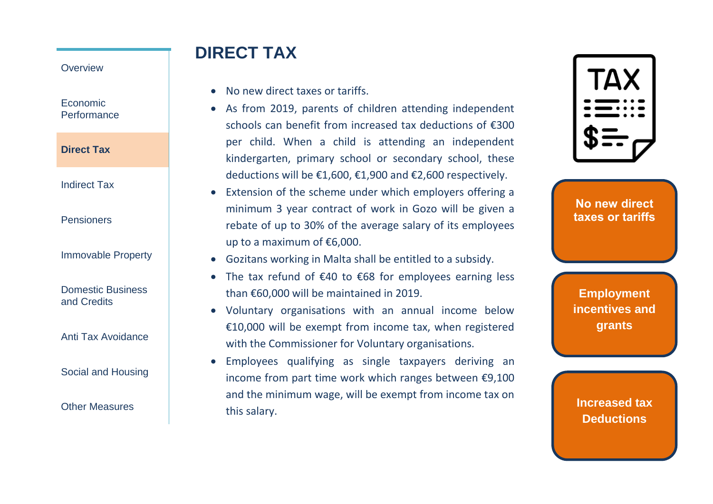Economic **Performance** 

**Direct Tax**

Indirect Tax

Pensioners

Immovable Property

Domestic Business and Credits

Anti Tax Avoidance

Social and Housing

Other Measures

# **DIRECT TAX**

- No new direct taxes or tariffs.
- As from 2019, parents of children attending independent schools can benefit from increased tax deductions of €300 per child. When a child is attending an independent kindergarten, primary school or secondary school, these deductions will be €1,600, €1,900 and €2,600 respectively.
- Extension of the scheme under which employers offering a minimum 3 year contract of work in Gozo will be given a rebate of up to 30% of the average salary of its employees up to a maximum of €6,000.
- Gozitans working in Malta shall be entitled to a subsidy.
- The tax refund of €40 to €68 for employees earning less than €60,000 will be maintained in 2019.
- Voluntary organisations with an annual income below €10,000 will be exempt from income tax, when registered with the Commissioner for Voluntary organisations.
- Employees qualifying as single taxpayers deriving an income from part time work which ranges between €9,100 and the minimum wage, will be exempt from income tax on this salary.



**No new direct taxes or tariffs**

**Employment incentives and grants**

**Increased tax Deductions**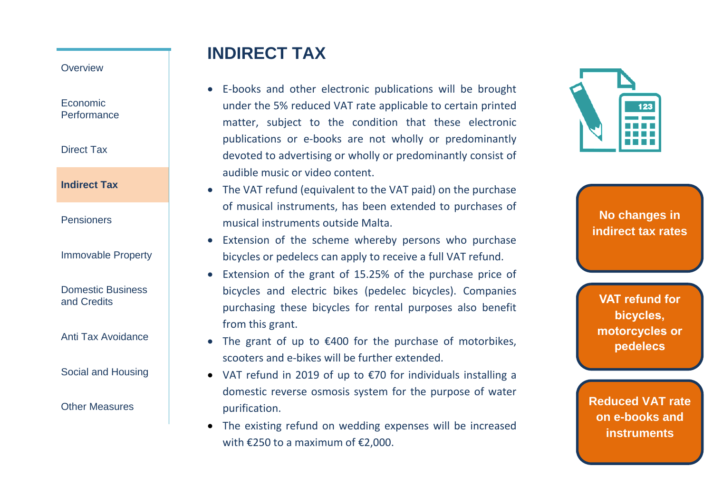Economic **Performance** 

Direct Tax

**Indirect Tax**

- Pensioners
- Immovable Property

Domestic Business and Credits

Anti Tax Avoidance

Social and Housing

Other Measures

## **INDIRECT TAX**

- E-books and other electronic publications will be brought under the 5% reduced VAT rate applicable to certain printed matter, subject to the condition that these electronic publications or e -books are not wholly or predominantly devoted to advertising or wholly or predominantly consist of audible music or video content.
- The VAT refund (equivalent to the VAT paid) on the purchase of musical instruments, has been extended to purchases of musical instruments outside Malta.
- Extension of the scheme whereby persons who purchase bicycles or pedelecs can apply to receive a full VAT refund .
- Extension of the grant of 15.25% of the purchase price of bicycles and electric bikes (pedelec bicycles). Companies purchasing these bicycles for rental purposes also benefit from this grant.
- The grant of up to €400 for the purchase of motorbikes, scooters and e -bikes will be further extended.
- VAT refund in 2019 of up to €70 for individuals installing a domestic reverse osmosis system for the purpose of water purification.
- The existing refund on wedding expenses will be increased with €250 to a maximum of €2,000.



**No changes in indirect tax rates**

**VAT refund for bicycles, motorcycles or pedelecs**

**Reduced VAT rate on e -books and instruments**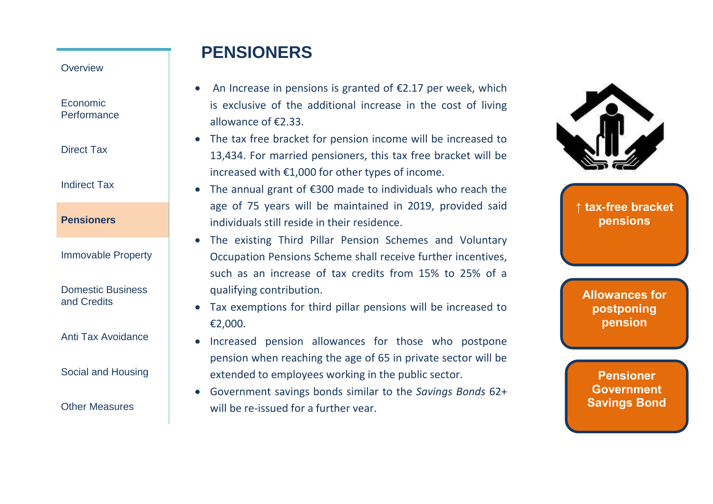Economic **Performance** 

Direct Tax

Indirect Tax

**Pensioners**

Immovable Property

Domestic Business and Credits

Anti Tax Avoidance

Social and Housing

Other Measures

## **PENSIONERS**

- An Increase in pensions is granted of  $\epsilon$ 2.17 per week, which is exclusive of the additional increase in the cost of living allowance of €2.33.
- The tax free bracket for pension income will be increased to 13,434. For married pensioners, this tax free bracket will be increased with €1,000 for other types of income.
- The annual grant of €300 made to individuals who reach the age of 75 years will be maintained in 2019, provided said individuals still reside in their residence.
- The existing Third Pillar Pension Schemes and Voluntary Occupation Pensions Scheme shall receive further incentives, such as an increase of tax credits from 15% to 25% of a qualifying contribution.
- Tax exemptions for third pillar pensions will be increased to €2,000.
- Increased pension allowances for those who postpone pension when reaching the age of 65 in private sector will be extended to employees working in the public sector.
- Government savings bonds similar to the *Savings Bonds* 62+ will be re-issued for a further year.



**↑ tax-free bracket pensions**

**Allowances for postponing pension**

**Pensioner Government Savings Bond**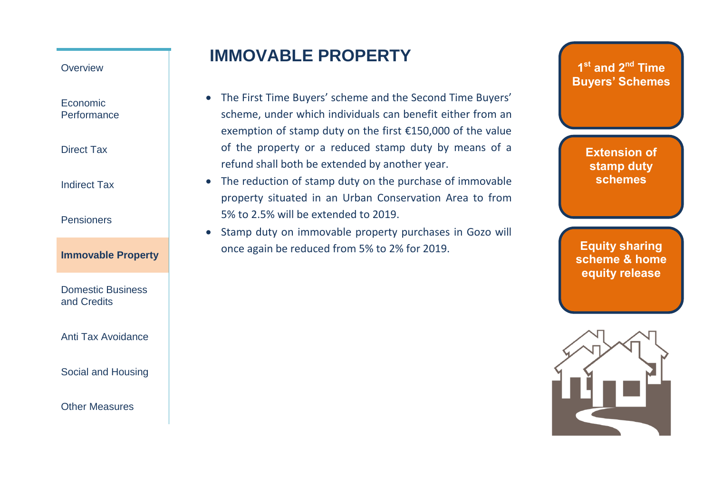Economic **Performance** 

Direct Tax

Indirect Tax

**Pensioners** 

### **Immovable Property**

Domestic Business and Credits

Anti Tax Avoidance

Social and Housing

Other Measures

### **IMMOVABLE PROPERTY**

- The First Time Buyers' scheme and the Second Time Buyers' scheme, under which individuals can benefit either from an exemption of stamp duty on the first €150,000 of the value of the property or a reduced stamp duty by means of a refund shall both be extended by another year.
- The reduction of stamp duty on the purchase of immovable property situated in an Urban Conservation Area to from 5% to 2.5% will be extended to 2019.
- Stamp duty on immovable property purchases in Gozo will once again be reduced from 5% to 2% for 2019.

**1 st and 2nd Time Buyers' Schemes**

> **Extension of stamp duty schemes**

**Equity sharing scheme & home equity release**

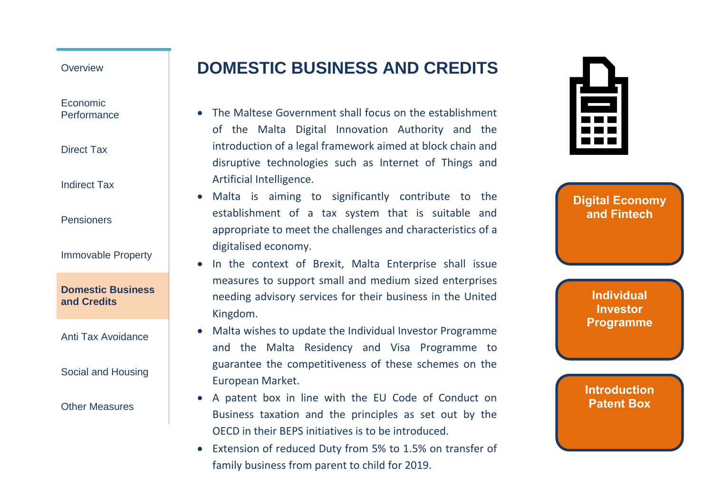Economic **Performance** 

Direct Tax

Indirect Tax

Pensioners

Immovable Property

**Domestic Business and Credits**

Anti Tax Avoidance

Social and Housing

Other Measures

# **DOMESTIC BUSINESS AND CREDITS**

- The Maltese Government shall focus on the establishment of the Malta Digital Innovation Authority and the introduction of a legal framework aimed at block chain and disruptive technologies such as Internet of Things and Artificial Intelligence.
- Malta is aiming to significantly contribute to the establishment of a tax system that is suitable and appropriate to meet the challenges and characteristics of a digitalised economy.
- In the context of Brexit, Malta Enterprise shall issue measures to support small and medium sized enterprises needing advisory services for their business in the United Kingdom.
- Malta wishes to update the Individual Investor Programme and the Malta Residency and Visa Programme to guarantee the competitiveness of these schemes on the European Market.
- A patent box in line with the EU Code of Conduct on Business taxation and the principles as set out by the OECD in their BEPS initiatives is to be introduced.
- Extension of reduced Duty from 5% to 1.5% on transfer of family business from parent to child for 2019.

| ٠<br>m |  |
|--------|--|

**Digital Economy and Fintech**

> **Individual Investor Programme**

**Introduction Patent Box**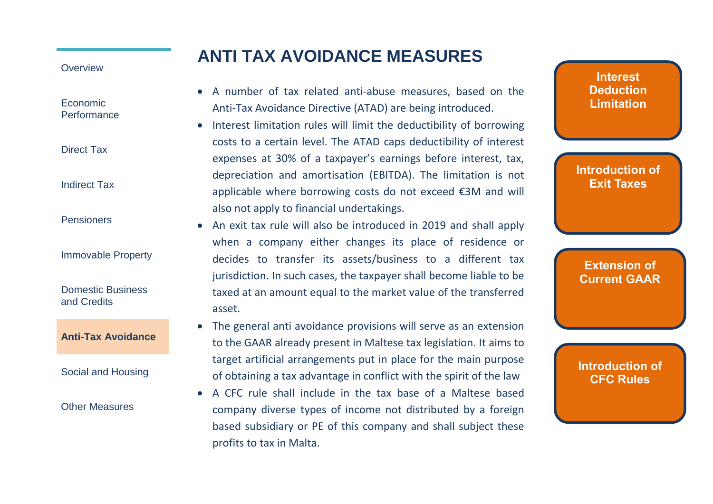Economic **Performance** 

Direct Tax

Indirect Tax

Pensioners

Immovable Property

Domestic Business and Credits

**Anti-Tax Avoidance**

Social and Housing

Other Measures

# **ANTI TAX AVOIDANCE MEASURES**

- A number of tax related anti-abuse measures, based on the Anti-Tax Avoidance Directive (ATAD) are being introduced.
- Interest limitation rules will limit the deductibility of borrowing costs to a certain level. The ATAD caps deductibility of interest expenses at 30% of a taxpayer's earnings before interest, tax, depreciation and amortisation (EBITDA). The limitation is not applicable where borrowing costs do not exceed €3M and will also not apply to financial undertakings.
- An exit tax rule will also be introduced in 2019 and shall apply when a company either changes its place of residence or decides to transfer its assets/business to a different tax jurisdiction. In such cases, the taxpayer shall become liable to be taxed at an amount equal to the market value of the transferred asset.
- The general anti avoidance provisions will serve as an extension to the GAAR already present in Maltese tax legislation. It aims to target artificial arrangements put in place for the main purpose of obtaining a tax advantage in conflict with the spirit of the law
- A CFC rule shall include in the tax base of a Maltese based company diverse types of income not distributed by a foreign based subsidiary or PE of this company and shall subject these profits to tax in Malta.

**Interest Deduction Limitation**

**Introduction of Exit Taxes**

**Extension of Current GAAR**

**Introduction of CFC Rules**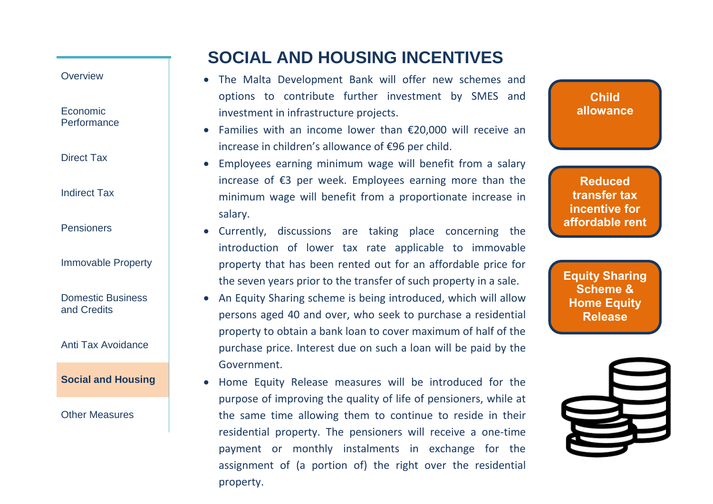Economic **Performance** 

Direct Tax

Indirect Tax

**Pensioners** 

Immovable Property

Domestic Business and Credits

Anti Tax Avoidance

**Social and Housing**

Other Measures

# **SOCIAL AND HOUSING INCENTIVES**

- The Malta Development Bank will offer new schemes and options to contribute further investment by SMES and investment in infrastructure projects.
- Families with an income lower than €20,000 will receive an increase in children's allowance of €96 per child.
- Employees earning minimum wage will benefit from a salary increase of €3 per week. Employees earning more than the minimum wage will benefit from a proportionate increase in salary.
- Currently, discussions are taking place concerning the introduction of lower tax rate applicable to immovable property that has been rented out for an affordable price for the seven years prior to the transfer of such property in a sale.
- An Equity Sharing scheme is being introduced, which will allow persons aged 40 and over, who seek to purchase a residential property to obtain a bank loan to cover maximum of half of the purchase price. Interest due on such a loan will be paid by the Government.
- Home Equity Release measures will be introduced for the purpose of improving the quality of life of pensioners, while at the same time allowing them to continue to reside in their residential property. The pensioners will receive a one-time payment or monthly instalments in exchange for the assignment of (a portion of) the right over the residential property.

**Reduced transfer tax incentive for affordable rent**

**Child allowance**

**Equity Sharing Scheme & Home Equity Release**